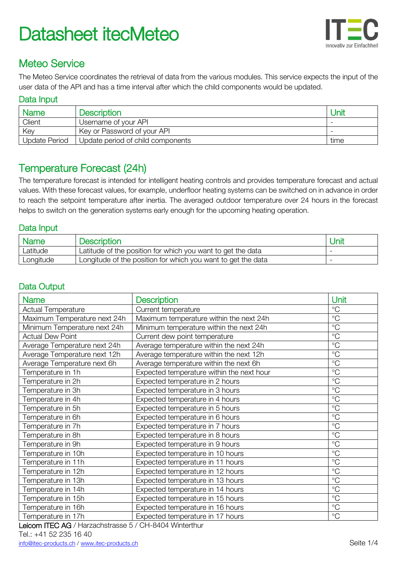

# Meteo Service

The Meteo Service coordinates the retrieval of data from the various modules. This service expects the input of the user data of the API and has a time interval after which the child components would be updated.

#### Data Input

| <b>Name</b>          | Description                       | Jnil |
|----------------------|-----------------------------------|------|
| Client               | Username of your API              |      |
| Key                  | Key or Password of your API       |      |
| <b>Update Period</b> | Update period of child components | time |

## Temperature Forecast (24h)

The temperature forecast is intended for intelligent heating controls and provides temperature forecast and actual values. With these forecast values, for example, underfloor heating systems can be switched on in advance in order to reach the setpoint temperature after inertia. The averaged outdoor temperature over 24 hours in the forecast helps to switch on the generation systems early enough for the upcoming heating operation.

### Data Input

| Name      | <b>Description</b>                                           | Unit |
|-----------|--------------------------------------------------------------|------|
| Latitude  | Latitude of the position for which you want to get the data  |      |
| Longitude | Longitude of the position for which you want to get the data |      |

## Data Output

| <b>Name</b>                  | <b>Description</b>                        | Unit         |
|------------------------------|-------------------------------------------|--------------|
| <b>Actual Temperature</b>    | Current temperature                       | $^{\circ}C$  |
| Maximum Temperature next 24h | Maximum temperature within the next 24h   | $^{\circ}C$  |
| Minimum Temperature next 24h | Minimum temperature within the next 24h   | $^{\circ}$ C |
| <b>Actual Dew Point</b>      | Current dew point temperature             | $^{\circ}C$  |
| Average Temperature next 24h | Average temperature within the next 24h   | $^{\circ}C$  |
| Average Temperature next 12h | Average temperature within the next 12h   | $^{\circ}C$  |
| Average Temperature next 6h  | Average temperature within the next 6h    | $^{\circ}C$  |
| Temperature in 1h            | Expected temperature within the next hour | $^{\circ}C$  |
| Temperature in 2h            | Expected temperature in 2 hours           | $^{\circ}C$  |
| Temperature in 3h            | Expected temperature in 3 hours           | $^{\circ}C$  |
| Temperature in 4h            | Expected temperature in 4 hours           | $^{\circ}C$  |
| Temperature in 5h            | Expected temperature in 5 hours           | $^{\circ}C$  |
| Temperature in 6h            | Expected temperature in 6 hours           | $^{\circ}C$  |
| Temperature in 7h            | Expected temperature in 7 hours           | $^{\circ}C$  |
| Temperature in 8h            | Expected temperature in 8 hours           | $^{\circ}C$  |
| Temperature in 9h            | Expected temperature in 9 hours           | $^{\circ}C$  |
| Temperature in 10h           | Expected temperature in 10 hours          | $^{\circ}C$  |
| Temperature in 11h           | Expected temperature in 11 hours          | $^{\circ}C$  |
| Temperature in 12h           | Expected temperature in 12 hours          | $^{\circ}C$  |
| Temperature in 13h           | Expected temperature in 13 hours          | $^{\circ}C$  |
| Temperature in 14h           | Expected temperature in 14 hours          | $^{\circ}C$  |
| Temperature in 15h           | Expected temperature in 15 hours          | $^{\circ}C$  |
| Temperature in 16h           | Expected temperature in 16 hours          | $^{\circ}C$  |
| Temperature in 17h           | Expected temperature in 17 hours          | $^{\circ}C$  |

Leicom ITEC AG / Harzachstrasse 5 / CH-8404 Winterthur

#### Tel.: +41 52 235 16 40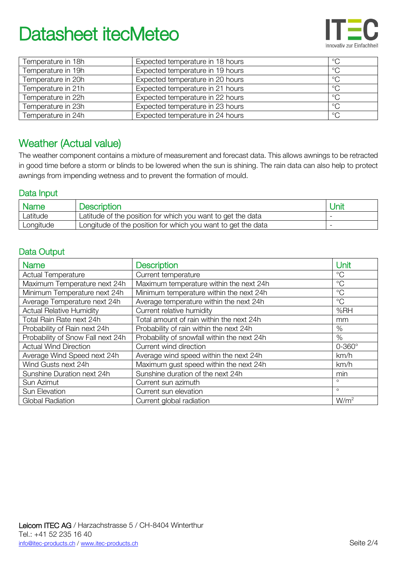

| Temperature in 18h | Expected temperature in 18 hours | $^{\circ}C$ |
|--------------------|----------------------------------|-------------|
| Temperature in 19h | Expected temperature in 19 hours | $^{\circ}C$ |
| Temperature in 20h | Expected temperature in 20 hours | $^{\circ}C$ |
| Temperature in 21h | Expected temperature in 21 hours | $^{\circ}C$ |
| Temperature in 22h | Expected temperature in 22 hours | $^{\circ}C$ |
| Temperature in 23h | Expected temperature in 23 hours | $^{\circ}C$ |
| Temperature in 24h | Expected temperature in 24 hours | $^{\circ}C$ |

## Weather (Actual value)

The weather component contains a mixture of measurement and forecast data. This allows awnings to be retracted in good time before a storm or blinds to be lowered when the sun is shining. The rain data can also help to protect awnings from impending wetness and to prevent the formation of mould.

### Data Input

| Name      | <b>Description</b>                                           | Unit |
|-----------|--------------------------------------------------------------|------|
| Latitude  | Latitude of the position for which you want to get the data  |      |
| Longitude | Longitude of the position for which you want to get the data |      |

## Data Output

| <b>Name</b>                       | <b>Description</b>                          | Unit             |
|-----------------------------------|---------------------------------------------|------------------|
| <b>Actual Temperature</b>         | Current temperature                         | $^{\circ}C$      |
| Maximum Temperature next 24h      | Maximum temperature within the next 24h     | $^{\circ}C$      |
| Minimum Temperature next 24h      | Minimum temperature within the next 24h     | $^{\circ}C$      |
| Average Temperature next 24h      | Average temperature within the next 24h     | $^{\circ}$ C     |
| <b>Actual Relative Humidity</b>   | Current relative humidity                   | %RH              |
| Total Rain Rate next 24h          | Total amount of rain within the next 24h    | mm               |
| Probability of Rain next 24h      | Probability of rain within the next 24h     | $\%$             |
| Probability of Snow Fall next 24h | Probability of snowfall within the next 24h | $\%$             |
| <b>Actual Wind Direction</b>      | Current wind direction                      | $0 - 360^\circ$  |
| Average Wind Speed next 24h       | Average wind speed within the next 24h      | km/h             |
| Wind Gusts next 24h               | Maximum gust speed within the next 24h      | km/h             |
| Sunshine Duration next 24h        | Sunshine duration of the next 24h           | min              |
| Sun Azimut                        | Current sun azimuth                         | $\circ$          |
| Sun Elevation                     | Current sun elevation                       | $\circ$          |
| <b>Global Radiation</b>           | Current global radiation                    | W/m <sup>2</sup> |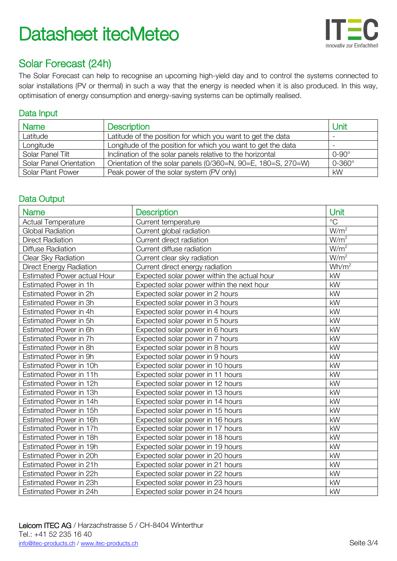

# Solar Forecast (24h)

The Solar Forecast can help to recognise an upcoming high-yield day and to control the systems connected to solar installations (PV or thermal) in such a way that the energy is needed when it is also produced. In this way, optimisation of energy consumption and energy-saving systems can be optimally realised.

### Data Input

| <b>Name</b>                    | <b>Description</b>                                            | Unit            |
|--------------------------------|---------------------------------------------------------------|-----------------|
| Latitude                       | Latitude of the position for which you want to get the data   |                 |
| Longitude                      | Longitude of the position for which you want to get the data  |                 |
| Solar Panel Tilt               | Inclination of the solar panels relative to the horizontal    | $0-90^\circ$    |
| <b>Solar Panel Orientation</b> | Orientation of the solar panels (0/360=N, 90=E, 180=S, 270=W) | $0 - 360^\circ$ |
| Solar Plant Power              | Peak power of the solar system (PV only)                      | kW              |

## Data Output

| <b>Name</b>                    | <b>Description</b>                          | Unit              |
|--------------------------------|---------------------------------------------|-------------------|
| <b>Actual Temperature</b>      | Current temperature                         | $\rm ^{\circ}C$   |
| <b>Global Radiation</b>        | Current global radiation                    | W/m <sup>2</sup>  |
| <b>Direct Radiation</b>        | Current direct radiation                    | W/m <sup>2</sup>  |
| <b>Diffuse Radiation</b>       | Current diffuse radiation                   | W/m <sup>2</sup>  |
| Clear Sky Radiation            | Current clear sky radiation                 | W/m <sup>2</sup>  |
| <b>Direct Energy Radiation</b> | Current direct energy radiation             | Wh/m <sup>2</sup> |
| Estimated Power actual Hour    | Expected solar power within the actual hour | kW                |
| Estimated Power in 1h          | Expected solar power within the next hour   | kW                |
| Estimated Power in 2h          | Expected solar power in 2 hours             | kW                |
| Estimated Power in 3h          | Expected solar power in 3 hours             | kW                |
| Estimated Power in 4h          | Expected solar power in 4 hours             | kW                |
| Estimated Power in 5h          | Expected solar power in 5 hours             | kW                |
| Estimated Power in 6h          | Expected solar power in 6 hours             | kW                |
| Estimated Power in 7h          | Expected solar power in 7 hours             | kW                |
| Estimated Power in 8h          | Expected solar power in 8 hours             | kW                |
| Estimated Power in 9h          | Expected solar power in 9 hours             | kW                |
| Estimated Power in 10h         | Expected solar power in 10 hours            | kW                |
| Estimated Power in 11h         | Expected solar power in 11 hours            | kW                |
| Estimated Power in 12h         | Expected solar power in 12 hours            | kW                |
| Estimated Power in 13h         | Expected solar power in 13 hours            | kW                |
| Estimated Power in 14h         | Expected solar power in 14 hours            | kW                |
| Estimated Power in 15h         | Expected solar power in 15 hours            | kW                |
| Estimated Power in 16h         | Expected solar power in 16 hours            | kW                |
| Estimated Power in 17h         | Expected solar power in 17 hours            | kW                |
| Estimated Power in 18h         | Expected solar power in 18 hours            | kW                |
| Estimated Power in 19h         | Expected solar power in 19 hours            | kW                |
| Estimated Power in 20h         | Expected solar power in 20 hours            | kW                |
| Estimated Power in 21h         | Expected solar power in 21 hours            | kW                |
| Estimated Power in 22h         | Expected solar power in 22 hours            | kW                |
| Estimated Power in 23h         | Expected solar power in 23 hours            | kW                |
| Estimated Power in 24h         | Expected solar power in 24 hours            | kW                |